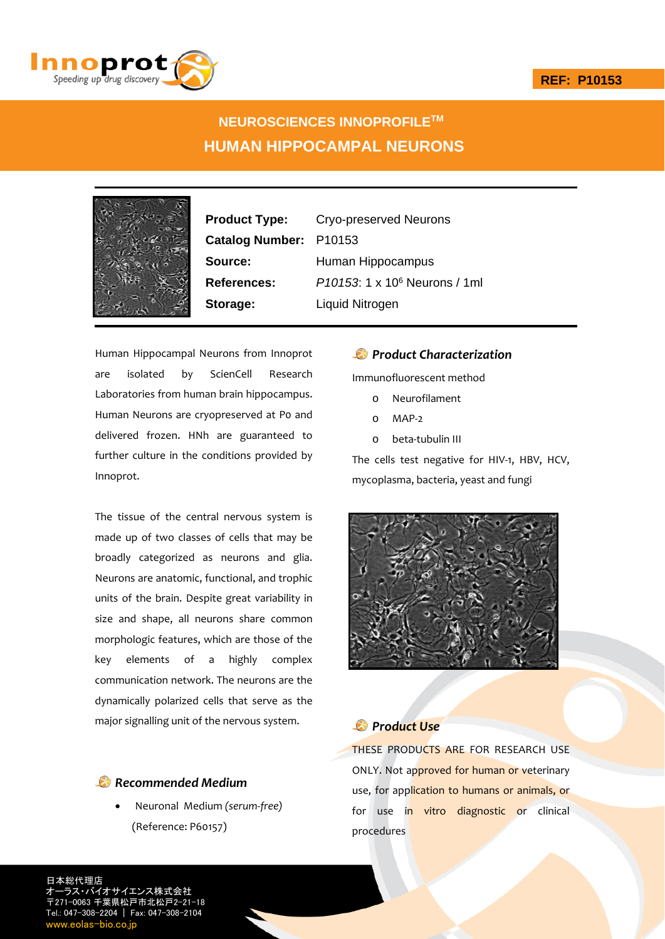

# **NEUROSCIENCES INNOPROFILETM HUMAN HIPPOCAMPAL NEURONS**



**Catalog Number:** P10153

**Product Type:** Cryo-preserved Neurons **Source:** Human Hippocampus **References:** *P10153*: 1 x 106 Neurons / 1ml **Storage:** Liquid Nitrogen

Human Hippocampal Neurons from Innoprot are isolated by ScienCell Research Laboratories from human brain hippocampus. Human Neurons are cryopreserved at P0 and delivered frozen. HNh are guaranteed to further culture in the conditions provided by Innoprot.

The tissue of the central nervous system is made up of two classes of cells that may be broadly categorized as neurons and glia. Neurons are anatomic, functional, and trophic units of the brain. Despite great variability in size and shape, all neurons share common morphologic features, which are those of the key elements of a highly complex communication network. The neurons are the dynamically polarized cells that serve as the major signalling unit of the nervous system.

### *Recommended Medium*

 Neuronal Medium *(serum‐free)* (Reference: P60157)

#### *Product Characterization*

Immunofluorescent method

- o Neurofilament
- o MAP‐2
- o beta‐tubulin III

The cells test negative for HIV-1, HBV, HCV, mycoplasma, bacteria, yeast and fungi



## *Product Use*

THESE PRODUCTS ARE FOR RESEARCH USE ONLY. Not approved for human or veterinary use, for application to humans or animals, or for use in vitro diagnostic or clinical procedures

日本総代理店 オーラス・バイオサイエンス株式会社 葉県松戸市北松戸2-21-18 Tel.: 047-308-2204 | Fax: 047-308-2104 w.eolas-bio.co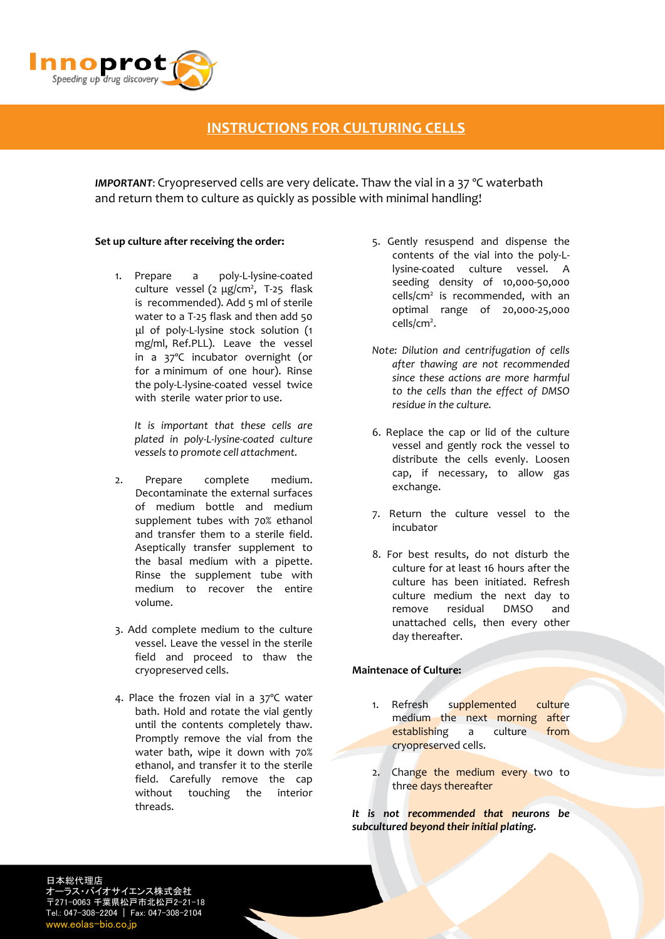

## **INSTRUCTIONS FOR CULTURING CELLS**

*IMPORTANT*: Cryopreserved cells are very delicate. Thaw the vial in a 37 ºC waterbath and return them to culture as quickly as possible with minimal handling!

#### **Set up culture after receiving the order:**

1. Prepare a poly‐L‐lysine‐coated culture vessel (2 μg/cm<sup>2</sup>, T-25 flask is recommended). Add 5 ml of sterile water to a T‐25 flask and then add 50 μl of poly‐L‐lysine stock solution (1 mg/ml, Ref.PLL). Leave the vessel in a 37°C incubator overnight (or for a minimum of one hour). Rinse the poly‐L‐lysine‐coated vessel twice with sterile water prior to use.

*It is important that these cells are plated in poly‐L‐lysine‐coated culture vessels to promote cell attachment.*

- 2. Prepare complete medium. Decontaminate the external surfaces of medium bottle and medium supplement tubes with 70% ethanol and transfer them to a sterile field. Aseptically transfer supplement to the basal medium with a pipette. Rinse the supplement tube with medium to recover the entire volume.
- 3. Add complete medium to the culture vessel. Leave the vessel in the sterile field and proceed to thaw the cryopreserved cells.
- 4. Place the frozen vial in a 37ºC water bath. Hold and rotate the vial gently until the contents completely thaw. Promptly remove the vial from the water bath, wipe it down with 70% ethanol, and transfer it to the sterile field. Carefully remove the cap without touching the interior threads.
- 5. Gently resuspend and dispense the contents of the vial into the poly‐L‐ lysine‐coated culture vessel. A seeding density of 10,000‐50,000  $cells/cm<sup>2</sup>$  is recommended, with an optimal range of 20,000‐25,000 cells/cm<sup>2</sup>.
- *Note: Dilution and centrifugation of cells after thawing are not recommended since these actions are more harmful to the cells than the effect of DMSO residue in the culture.*
- 6. Replace the cap or lid of the culture vessel and gently rock the vessel to distribute the cells evenly. Loosen cap, if necessary, to allow gas exchange.
- 7. Return the culture vessel to the incubator
- 8. For best results, do not disturb the culture for at least 16 hours after the culture has been initiated. Refresh culture medium the next day to remove residual DMSO and unattached cells, then every other day thereafter.

#### **Maintenace of Culture:**

- 1. Refresh supplemented culture medium the next morning after establishing a culture from cryopreserved cells.
- 2. Change the medium every two to three days thereafter

*It is not recommended that neurons be subcultured beyond their initial plating.*

日本総代理店 ラス・バイオサイエンス株式会社 〒271-0063 千葉県松戸市北松戸2-21-18 Tel.: 047-308-2204 | Fax: 047-308-2104 www.eolas-bio.co.